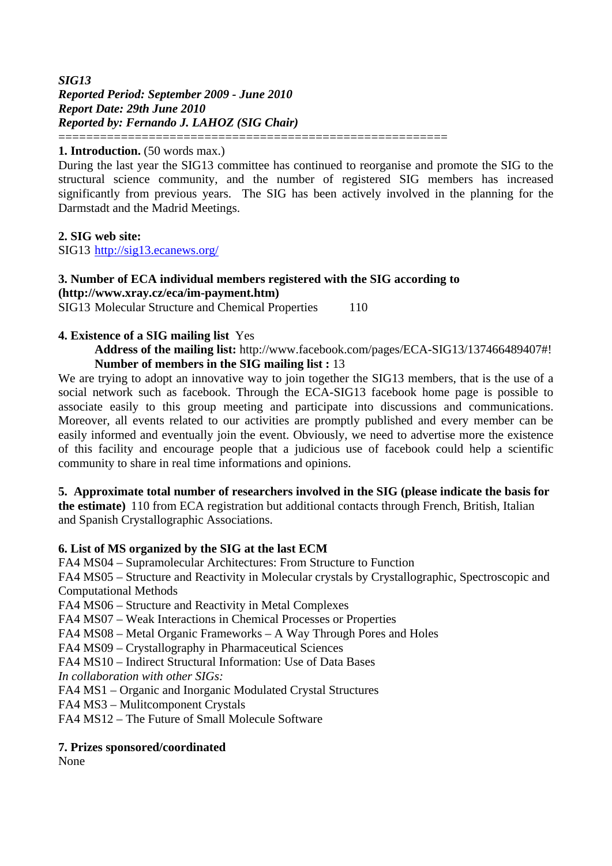*SIG13 Reported Period: September 2009 - June 2010 Report Date: 29th June 2010 Reported by: Fernando J. LAHOZ (SIG Chair)* ========================================================

#### **1. Introduction.** (50 words max.)

During the last year the SIG13 committee has continued to reorganise and promote the SIG to the structural science community, and the number of registered SIG members has increased significantly from previous years. The SIG has been actively involved in the planning for the Darmstadt and the Madrid Meetings.

#### **2. SIG web site:**

SIG13 <http://sig13.ecanews.org/>

## **3. Number of ECA individual members registered with the SIG according to ([http://www.xray.cz/eca/im-payment.htm\)](http://www.xray.cz/eca/im-payment.htm)**

SIG13 Molecular Structure and Chemical Properties 110

#### **4. Existence of a SIG mailing list** Yes

 **Address of the mailing list:** http://www.facebook.com/pages/ECA-SIG13/137466489407#!  **Number of members in the SIG mailing list :** 13

We are trying to adopt an innovative way to join together the SIG13 members, that is the use of a social network such as facebook. Through the ECA-SIG13 facebook home page is possible to associate easily to this group meeting and participate into discussions and communications. Moreover, all events related to our activities are promptly published and every member can be easily informed and eventually join the event. Obviously, we need to advertise more the existence of this facility and encourage people that a judicious use of facebook could help a scientific community to share in real time informations and opinions.

#### **5. Approximate total number of researchers involved in the SIG (please indicate the basis for**

**the estimate)** 110 from ECA registration but additional contacts through French, British, Italian and Spanish Crystallographic Associations.

#### **6. List of MS organized by the SIG at the last ECM**

FA4 MS04 – Supramolecular Architectures: From Structure to Function

FA4 MS05 – Structure and Reactivity in Molecular crystals by Crystallographic, Spectroscopic and Computational Methods

FA4 MS06 – Structure and Reactivity in Metal Complexes

FA4 MS07 – Weak Interactions in Chemical Processes or Properties

FA4 MS08 – Metal Organic Frameworks – A Way Through Pores and Holes

FA4 MS09 – Crystallography in Pharmaceutical Sciences

FA4 MS10 – Indirect Structural Information: Use of Data Bases

*In collaboration with other SIGs:* 

FA4 MS1 – Organic and Inorganic Modulated Crystal Structures

FA4 MS3 – Mulitcomponent Crystals

FA4 MS12 – The Future of Small Molecule Software

#### **7. Prizes sponsored/coordinated**

None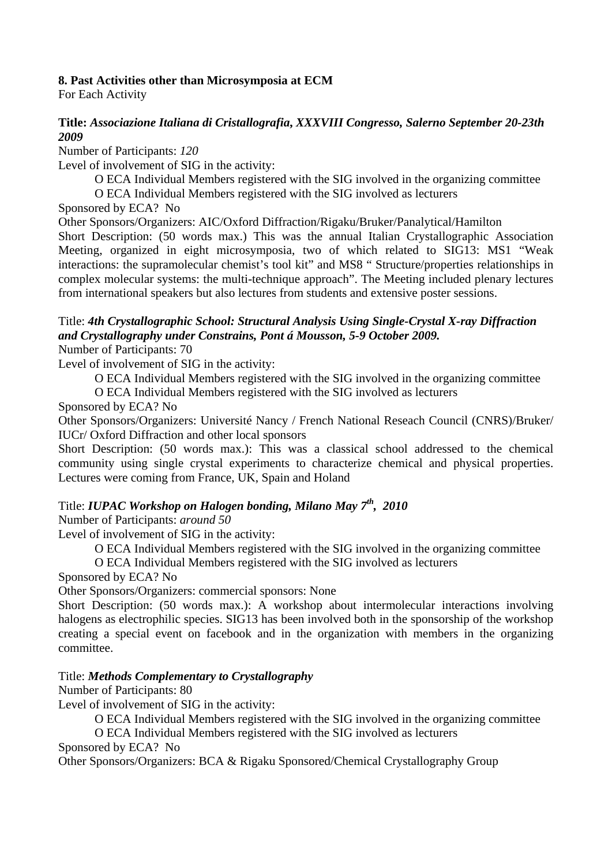#### **8. Past Activities other than Microsymposia at ECM**

For Each Activity

#### **Title:** *Associazione Italiana di Cristallografia***,** *XXXVIII Congresso, Salerno September 20-23th 2009*

Number of Participants: *120* 

Level of involvement of SIG in the activity:

O ECA Individual Members registered with the SIG involved in the organizing committee

O ECA Individual Members registered with the SIG involved as lecturers

Sponsored by ECA? No

Other Sponsors/Organizers: AIC/Oxford Diffraction/Rigaku/Bruker/Panalytical/Hamilton

Short Description: (50 words max.) This was the annual Italian Crystallographic Association Meeting, organized in eight microsymposia, two of which related to SIG13: MS1 "Weak interactions: the supramolecular chemist's tool kit" and MS8 " Structure/properties relationships in complex molecular systems: the multi-technique approach". The Meeting included plenary lectures from international speakers but also lectures from students and extensive poster sessions.

## Title: *4th Crystallographic School: Structural Analysis Using Single-Crystal X-ray Diffraction and Crystallography under Constrains, Pont á Mousson, 5-9 October 2009.*

Number of Participants: 70

Level of involvement of SIG in the activity:

O ECA Individual Members registered with the SIG involved in the organizing committee

O ECA Individual Members registered with the SIG involved as lecturers

Sponsored by ECA? No

Other Sponsors/Organizers: Université Nancy / French National Reseach Council (CNRS)/Bruker/ IUCr/ Oxford Diffraction and other local sponsors

Short Description: (50 words max.): This was a classical school addressed to the chemical community using single crystal experiments to characterize chemical and physical properties. Lectures were coming from France, UK, Spain and Holand

## Title: *IUPAC Workshop on Halogen bonding, Milano May 7th, 2010*

Number of Participants: *around 50* 

Level of involvement of SIG in the activity:

O ECA Individual Members registered with the SIG involved in the organizing committee

O ECA Individual Members registered with the SIG involved as lecturers

Sponsored by ECA? No

Other Sponsors/Organizers: commercial sponsors: None

Short Description: (50 words max.): A workshop about intermolecular interactions involving halogens as electrophilic species. SIG13 has been involved both in the sponsorship of the workshop creating a special event on facebook and in the organization with members in the organizing committee.

#### Title: *Methods Complementary to Crystallography*

Number of Participants: 80

Level of involvement of SIG in the activity:

O ECA Individual Members registered with the SIG involved in the organizing committee

O ECA Individual Members registered with the SIG involved as lecturers

Sponsored by ECA? No

Other Sponsors/Organizers: BCA & Rigaku Sponsored/Chemical Crystallography Group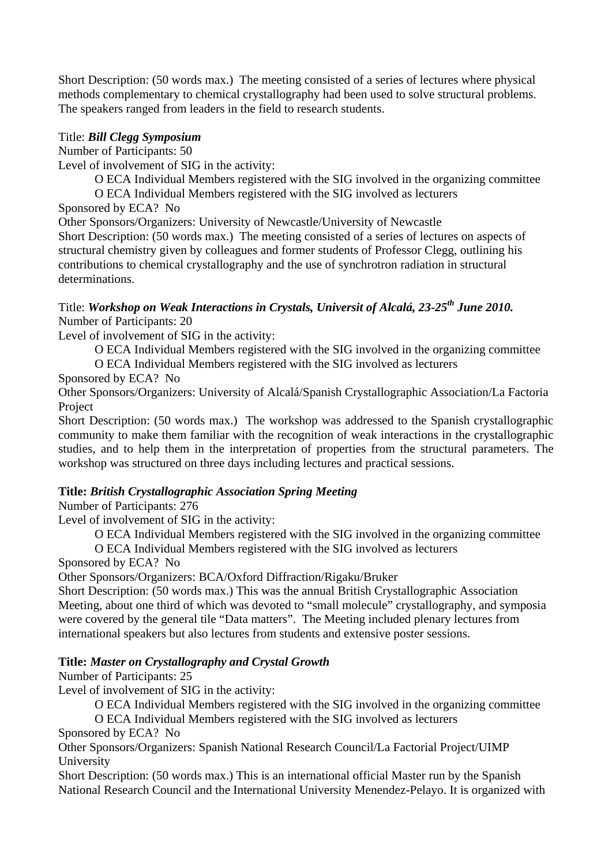Short Description: (50 words max.) The meeting consisted of a series of lectures where physical methods complementary to chemical crystallography had been used to solve structural problems. The speakers ranged from leaders in the field to research students.

#### Title: *Bill Clegg Symposium*

Number of Participants: 50

Level of involvement of SIG in the activity:

O ECA Individual Members registered with the SIG involved in the organizing committee

O ECA Individual Members registered with the SIG involved as lecturers

Sponsored by ECA? No

Other Sponsors/Organizers: University of Newcastle/University of Newcastle

Short Description: (50 words max.) The meeting consisted of a series of lectures on aspects of structural chemistry given by colleagues and former students of Professor Clegg, outlining his contributions to chemical crystallography and the use of synchrotron radiation in structural determinations.

#### Title: *Workshop on Weak Interactions in Crystals, Universit of Alcalá, 23-25th June 2010.*  Number of Participants: 20

Level of involvement of SIG in the activity:

O ECA Individual Members registered with the SIG involved in the organizing committee

O ECA Individual Members registered with the SIG involved as lecturers

Sponsored by ECA? No

Other Sponsors/Organizers: University of Alcalá/Spanish Crystallographic Association/La Factoria Project

Short Description: (50 words max.) The workshop was addressed to the Spanish crystallographic community to make them familiar with the recognition of weak interactions in the crystallographic studies, and to help them in the interpretation of properties from the structural parameters. The workshop was structured on three days including lectures and practical sessions.

## **Title:** *British Crystallographic Association Spring Meeting*

Number of Participants: 276

Level of involvement of SIG in the activity:

O ECA Individual Members registered with the SIG involved in the organizing committee

O ECA Individual Members registered with the SIG involved as lecturers

Sponsored by ECA? No

Other Sponsors/Organizers: BCA/Oxford Diffraction/Rigaku/Bruker

Short Description: (50 words max.) This was the annual British Crystallographic Association Meeting, about one third of which was devoted to "small molecule" crystallography, and symposia were covered by the general tile "Data matters". The Meeting included plenary lectures from international speakers but also lectures from students and extensive poster sessions.

## **Title:** *Master on Crystallography and Crystal Growth*

Number of Participants: 25

Level of involvement of SIG in the activity:

O ECA Individual Members registered with the SIG involved in the organizing committee

O ECA Individual Members registered with the SIG involved as lecturers

Sponsored by ECA? No

Other Sponsors/Organizers: Spanish National Research Council/La Factorial Project/UIMP University

Short Description: (50 words max.) This is an international official Master run by the Spanish National Research Council and the International University Menendez-Pelayo. It is organized with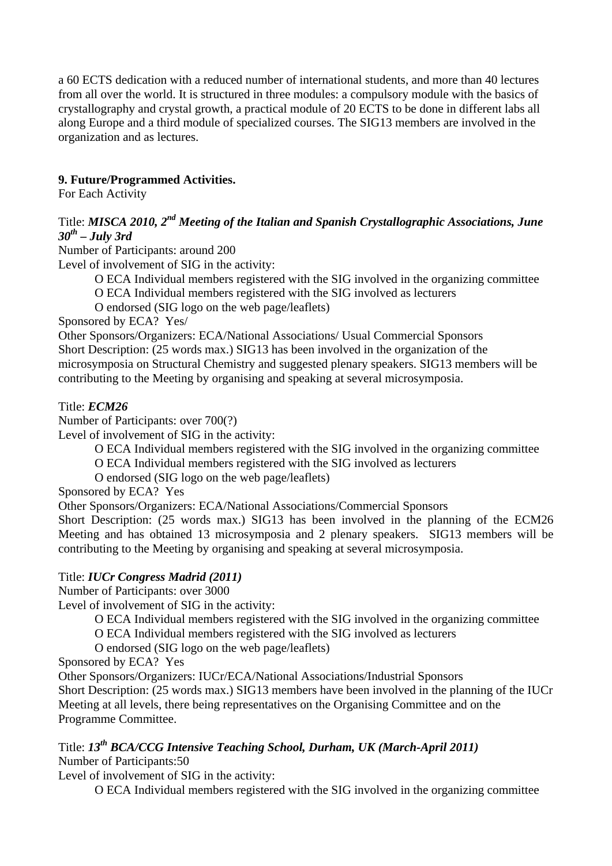a 60 ECTS dedication with a reduced number of international students, and more than 40 lectures from all over the world. It is structured in three modules: a compulsory module with the basics of crystallography and crystal growth, a practical module of 20 ECTS to be done in different labs all along Europe and a third module of specialized courses. The SIG13 members are involved in the organization and as lectures.

## **9. Future/Programmed Activities.**

For Each Activity

## Title: *MISCA 2010, 2nd Meeting of the Italian and Spanish Crystallographic Associations, June 30th – July 3rd*

Number of Participants: around 200

Level of involvement of SIG in the activity:

 O ECA Individual members registered with the SIG involved in the organizing committee O ECA Individual members registered with the SIG involved as lecturers

O endorsed (SIG logo on the web page/leaflets)

Sponsored by ECA? Yes/

Other Sponsors/Organizers: ECA/National Associations/ Usual Commercial Sponsors Short Description: (25 words max.) SIG13 has been involved in the organization of the microsymposia on Structural Chemistry and suggested plenary speakers. SIG13 members will be contributing to the Meeting by organising and speaking at several microsymposia.

#### Title: *ECM26*

Number of Participants: over 700(?)

Level of involvement of SIG in the activity:

O ECA Individual members registered with the SIG involved in the organizing committee

O ECA Individual members registered with the SIG involved as lecturers

O endorsed (SIG logo on the web page/leaflets)

Sponsored by ECA? Yes

Other Sponsors/Organizers: ECA/National Associations/Commercial Sponsors

Short Description: (25 words max.) SIG13 has been involved in the planning of the ECM26 Meeting and has obtained 13 microsymposia and 2 plenary speakers. SIG13 members will be contributing to the Meeting by organising and speaking at several microsymposia.

#### Title: *IUCr Congress Madrid (2011)*

Number of Participants: over 3000

Level of involvement of SIG in the activity:

- O ECA Individual members registered with the SIG involved in the organizing committee
- O ECA Individual members registered with the SIG involved as lecturers
- O endorsed (SIG logo on the web page/leaflets)

Sponsored by ECA? Yes

Other Sponsors/Organizers: IUCr/ECA/National Associations/Industrial Sponsors

Short Description: (25 words max.) SIG13 members have been involved in the planning of the IUCr Meeting at all levels, there being representatives on the Organising Committee and on the Programme Committee.

# Title: *13th BCA/CCG Intensive Teaching School, Durham, UK (March-April 2011)*

Number of Participants:50

Level of involvement of SIG in the activity:

O ECA Individual members registered with the SIG involved in the organizing committee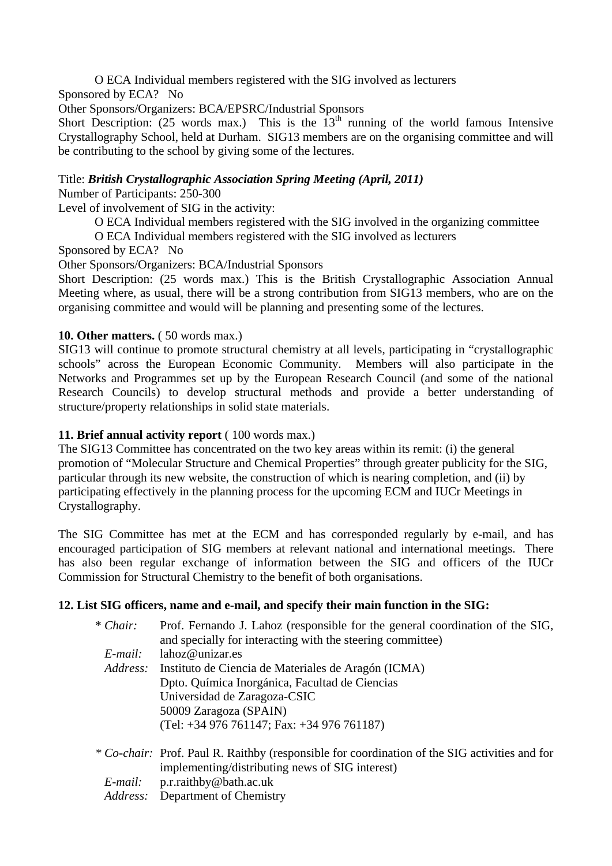O ECA Individual members registered with the SIG involved as lecturers

Sponsored by ECA? No

Other Sponsors/Organizers: BCA/EPSRC/Industrial Sponsors

Short Description: (25 words max.) This is the  $13<sup>th</sup>$  running of the world famous Intensive Crystallography School, held at Durham. SIG13 members are on the organising committee and will be contributing to the school by giving some of the lectures.

Title: *British Crystallographic Association Spring Meeting (April, 2011)* 

Number of Participants: 250-300

Level of involvement of SIG in the activity:

O ECA Individual members registered with the SIG involved in the organizing committee

O ECA Individual members registered with the SIG involved as lecturers

Sponsored by ECA? No

Other Sponsors/Organizers: BCA/Industrial Sponsors

Short Description: (25 words max.) This is the British Crystallographic Association Annual Meeting where, as usual, there will be a strong contribution from SIG13 members, who are on the organising committee and would will be planning and presenting some of the lectures.

## **10. Other matters.** (50 words max.)

SIG13 will continue to promote structural chemistry at all levels, participating in "crystallographic schools" across the European Economic Community. Members will also participate in the Networks and Programmes set up by the European Research Council (and some of the national Research Councils) to develop structural methods and provide a better understanding of structure/property relationships in solid state materials.

#### **11. Brief annual activity report** ( 100 words max.)

The SIG13 Committee has concentrated on the two key areas within its remit: (i) the general promotion of "Molecular Structure and Chemical Properties" through greater publicity for the SIG, particular through its new website, the construction of which is nearing completion, and (ii) by participating effectively in the planning process for the upcoming ECM and IUCr Meetings in Crystallography.

The SIG Committee has met at the ECM and has corresponded regularly by e-mail, and has encouraged participation of SIG members at relevant national and international meetings. There has also been regular exchange of information between the SIG and officers of the IUCr Commission for Structural Chemistry to the benefit of both organisations.

## **12. List SIG officers, name and e-mail, and specify their main function in the SIG:**

| * Chair:   | Prof. Fernando J. Lahoz (responsible for the general coordination of the SIG,<br>and specially for interacting with the steering committee)      |
|------------|--------------------------------------------------------------------------------------------------------------------------------------------------|
| $E$ -mail: | lahoz@unizar.es                                                                                                                                  |
| Address:   | Instituto de Ciencia de Materiales de Aragón (ICMA)                                                                                              |
|            | Dpto. Química Inorgánica, Facultad de Ciencias                                                                                                   |
|            | Universidad de Zaragoza-CSIC                                                                                                                     |
|            | 50009 Zaragoza (SPAIN)                                                                                                                           |
|            | $(Tel: +34976761147; Fax: +34976761187)$                                                                                                         |
|            | * Co-chair: Prof. Paul R. Raithby (responsible for coordination of the SIG activities and for<br>implementing/distributing news of SIG interest) |
| E-mail:    | p.r.raithby@bath.ac.uk                                                                                                                           |
|            | <i>Address:</i> Department of Chemistry                                                                                                          |